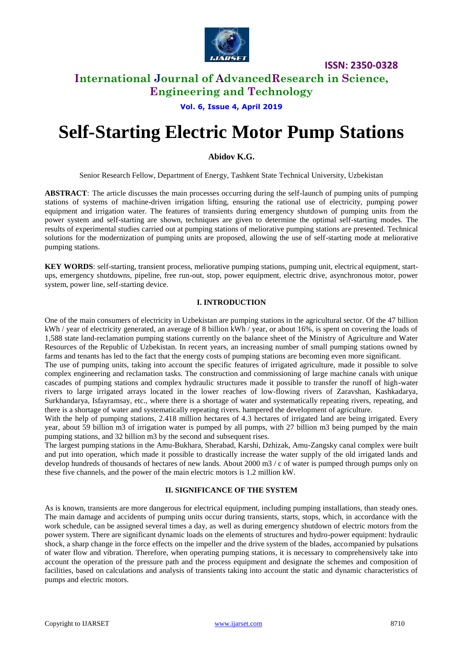

# **International Journal of AdvancedResearch in Science, Engineering and Technology**

#### **Vol. 6, Issue 4, April 2019**

# **Self-Starting Electric Motor Pump Stations**

## **Abidov K.G.**

Senior Research Fellow, Department of Energy, Tashkent State Technical University, Uzbekistan

**ABSTRACT**: The article discusses the main processes occurring during the self-launch of pumping units of pumping stations of systems of machine-driven irrigation lifting, ensuring the rational use of electricity, pumping power equipment and irrigation water. The features of transients during emergency shutdown of pumping units from the power system and self-starting are shown, techniques are given to determine the optimal self-starting modes. The results of experimental studies carried out at pumping stations of meliorative pumping stations are presented. Technical solutions for the modernization of pumping units are proposed, allowing the use of self-starting mode at meliorative pumping stations.

**KEY WORDS**: self-starting, transient process, meliorative pumping stations, pumping unit, electrical equipment, startups, emergency shutdowns, pipeline, free run-out, stop, power equipment, electric drive, asynchronous motor, power system, power line, self-starting device.

#### **I. INTRODUCTION**

One of the main consumers of electricity in Uzbekistan are pumping stations in the agricultural sector. Of the 47 billion kWh / year of electricity generated, an average of 8 billion kWh / year, or about 16%, is spent on covering the loads of 1,588 state land-reclamation pumping stations currently on the balance sheet of the Ministry of Agriculture and Water Resources of the Republic of Uzbekistan. In recent years, an increasing number of small pumping stations owned by farms and tenants has led to the fact that the energy costs of pumping stations are becoming even more significant.

The use of pumping units, taking into account the specific features of irrigated agriculture, made it possible to solve complex engineering and reclamation tasks. The construction and commissioning of large machine canals with unique cascades of pumping stations and complex hydraulic structures made it possible to transfer the runoff of high-water rivers to large irrigated arrays located in the lower reaches of low-flowing rivers of Zaravshan, Kashkadarya, Surkhandarya, Isfayramsay, etc., where there is a shortage of water and systematically repeating rivers, repeating, and there is a shortage of water and systematically repeating rivers. hampered the development of agriculture.

With the help of pumping stations, 2.418 million hectares of 4.3 hectares of irrigated land are being irrigated. Every year, about 59 billion m3 of irrigation water is pumped by all pumps, with 27 billion m3 being pumped by the main pumping stations, and 32 billion m3 by the second and subsequent rises.

The largest pumping stations in the Amu-Bukhara, Sherabad, Karshi, Dzhizak, Amu-Zangsky canal complex were built and put into operation, which made it possible to drastically increase the water supply of the old irrigated lands and develop hundreds of thousands of hectares of new lands. About 2000 m3 / c of water is pumped through pumps only on these five channels, and the power of the main electric motors is 1.2 million kW.

## **II. SIGNIFICANCE OF THE SYSTEM**

As is known, transients are more dangerous for electrical equipment, including pumping installations, than steady ones. The main damage and accidents of pumping units occur during transients, starts, stops, which, in accordance with the work schedule, can be assigned several times a day, as well as during emergency shutdown of electric motors from the power system. There are significant dynamic loads on the elements of structures and hydro-power equipment: hydraulic shock, a sharp change in the force effects on the impeller and the drive system of the blades, accompanied by pulsations of water flow and vibration. Therefore, when operating pumping stations, it is necessary to comprehensively take into account the operation of the pressure path and the process equipment and designate the schemes and composition of facilities, based on calculations and analysis of transients taking into account the static and dynamic characteristics of pumps and electric motors.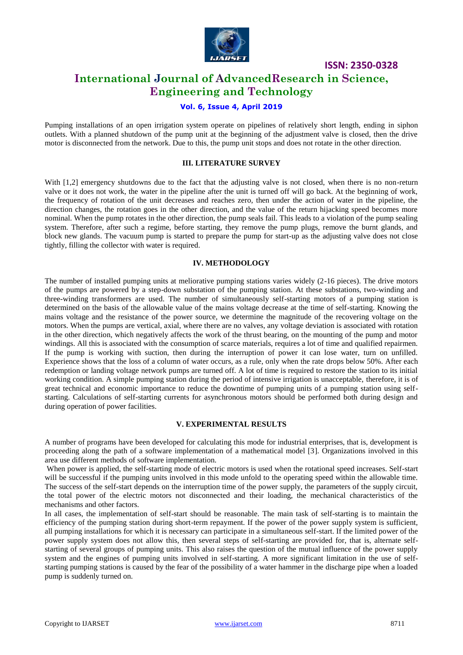

# **International Journal of AdvancedResearch in Science, Engineering and Technology**

## **Vol. 6, Issue 4, April 2019**

Pumping installations of an open irrigation system operate on pipelines of relatively short length, ending in siphon outlets. With a planned shutdown of the pump unit at the beginning of the adjustment valve is closed, then the drive motor is disconnected from the network. Due to this, the pump unit stops and does not rotate in the other direction.

#### **III. LITERATURE SURVEY**

With [1,2] emergency shutdowns due to the fact that the adjusting valve is not closed, when there is no non-return valve or it does not work, the water in the pipeline after the unit is turned off will go back. At the beginning of work, the frequency of rotation of the unit decreases and reaches zero, then under the action of water in the pipeline, the direction changes, the rotation goes in the other direction, and the value of the return hijacking speed becomes more nominal. When the pump rotates in the other direction, the pump seals fail. This leads to a violation of the pump sealing system. Therefore, after such a regime, before starting, they remove the pump plugs, remove the burnt glands, and block new glands. The vacuum pump is started to prepare the pump for start-up as the adjusting valve does not close tightly, filling the collector with water is required.

## **IV. METHODOLOGY**

The number of installed pumping units at meliorative pumping stations varies widely (2-16 pieces). The drive motors of the pumps are powered by a step-down substation of the pumping station. At these substations, two-winding and three-winding transformers are used. The number of simultaneously self-starting motors of a pumping station is determined on the basis of the allowable value of the mains voltage decrease at the time of self-starting. Knowing the mains voltage and the resistance of the power source, we determine the magnitude of the recovering voltage on the motors. When the pumps are vertical, axial, where there are no valves, any voltage deviation is associated with rotation in the other direction, which negatively affects the work of the thrust bearing, on the mounting of the pump and motor windings. All this is associated with the consumption of scarce materials, requires a lot of time and qualified repairmen. If the pump is working with suction, then during the interruption of power it can lose water, turn on unfilled. Experience shows that the loss of a column of water occurs, as a rule, only when the rate drops below 50%. After each redemption or landing voltage network pumps are turned off. A lot of time is required to restore the station to its initial working condition. A simple pumping station during the period of intensive irrigation is unacceptable, therefore, it is of great technical and economic importance to reduce the downtime of pumping units of a pumping station using selfstarting. Calculations of self-starting currents for asynchronous motors should be performed both during design and during operation of power facilities.

#### **V. EXPERIMENTAL RESULTS**

A number of programs have been developed for calculating this mode for industrial enterprises, that is, development is proceeding along the path of a software implementation of a mathematical model [3]. Organizations involved in this area use different methods of software implementation.

When power is applied, the self-starting mode of electric motors is used when the rotational speed increases. Self-start will be successful if the pumping units involved in this mode unfold to the operating speed within the allowable time. The success of the self-start depends on the interruption time of the power supply, the parameters of the supply circuit, the total power of the electric motors not disconnected and their loading, the mechanical characteristics of the mechanisms and other factors.

In all cases, the implementation of self-start should be reasonable. The main task of self-starting is to maintain the efficiency of the pumping station during short-term repayment. If the power of the power supply system is sufficient, all pumping installations for which it is necessary can participate in a simultaneous self-start. If the limited power of the power supply system does not allow this, then several steps of self-starting are provided for, that is, alternate selfstarting of several groups of pumping units. This also raises the question of the mutual influence of the power supply system and the engines of pumping units involved in self-starting. A more significant limitation in the use of selfstarting pumping stations is caused by the fear of the possibility of a water hammer in the discharge pipe when a loaded pump is suddenly turned on.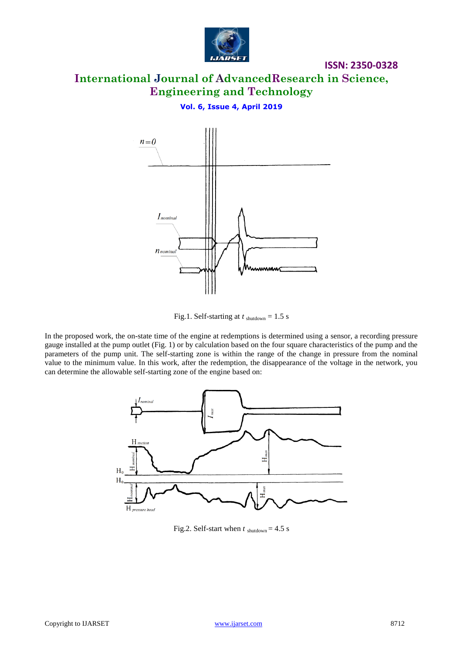

**International Journal of AdvancedResearch in Science, Engineering and Technology**

**Vol. 6, Issue 4, April 2019**





In the proposed work, the on-state time of the engine at redemptions is determined using a sensor, a recording pressure gauge installed at the pump outlet (Fig. 1) or by calculation based on the four square characteristics of the pump and the parameters of the pump unit. The self-starting zone is within the range of the change in pressure from the nominal value to the minimum value. In this work, after the redemption, the disappearance of the voltage in the network, you can determine the allowable self-starting zone of the engine based on:



Fig.2. Self-start when  $t_{\text{shutdown}} = 4.5 \text{ s}$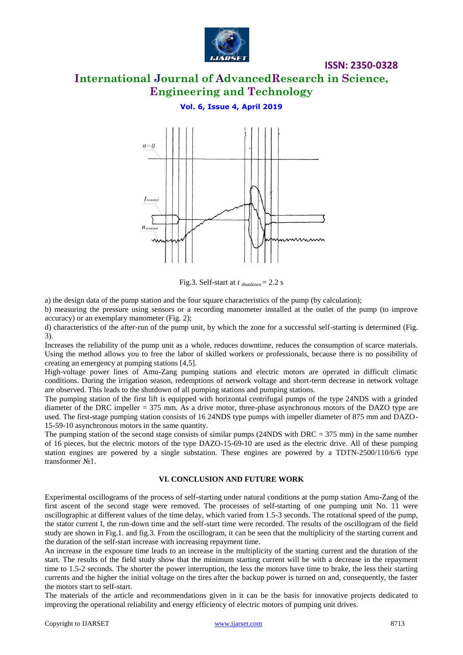

# **International Journal of AdvancedResearch in Science, Engineering and Technology**

## **Vol. 6, Issue 4, April 2019**



Fig.3. Self-start at  $t_{\text{shutdown}} = 2.2$  s

a) the design data of the pump station and the four square characteristics of the pump (by calculation);

b) measuring the pressure using sensors or a recording manometer installed at the outlet of the pump (to improve accuracy) or an exemplary manometer (Fig. 2);

d) characteristics of the after-run of the pump unit, by which the zone for a successful self-starting is determined (Fig. 3).

Increases the reliability of the pump unit as a whole, reduces downtime, reduces the consumption of scarce materials. Using the method allows you to free the labor of skilled workers or professionals, because there is no possibility of creating an emergency at pumping stations [4,5].

High-voltage power lines of Amu-Zang pumping stations and electric motors are operated in difficult climatic conditions. During the irrigation season, redemptions of network voltage and short-term decrease in network voltage are observed. This leads to the shutdown of all pumping stations and pumping stations.

The pumping station of the first lift is equipped with horizontal centrifugal pumps of the type 24NDS with a grinded diameter of the DRC impeller = 375 mm. As a drive motor, three-phase asynchronous motors of the DAZO type are used. The first-stage pumping station consists of 16 24NDS type pumps with impeller diameter of 875 mm and DAZO-15-59-10 asynchronous motors in the same quantity.

The pumping station of the second stage consists of similar pumps (24NDS with DRC =  $375$  mm) in the same number of 16 pieces, but the electric motors of the type DAZO-15-69-10 are used as the electric drive. All of these pumping station engines are powered by a single substation. These engines are powered by a TDTN-2500/110/6/6 type transformer No1.

#### **VI. CONCLUSION AND FUTURE WORK**

Experimental oscillograms of the process of self-starting under natural conditions at the pump station Amu-Zang of the first ascent of the second stage were removed. The processes of self-starting of one pumping unit No. 11 were oscillographic at different values of the time delay, which varied from 1.5-3 seconds. The rotational speed of the pump, the stator current I, the run-down time and the self-start time were recorded. The results of the oscillogram of the field study are shown in Fig.1. and fig.3. From the oscillogram, it can be seen that the multiplicity of the starting current and the duration of the self-start increase with increasing repayment time.

An increase in the exposure time leads to an increase in the multiplicity of the starting current and the duration of the start. The results of the field study show that the minimum starting current will be with a decrease in the repayment time to 1.5-2 seconds. The shorter the power interruption, the less the motors have time to brake, the less their starting currents and the higher the initial voltage on the tires after the backup power is turned on and, consequently, the faster the motors start to self-start.

The materials of the article and recommendations given in it can be the basis for innovative projects dedicated to improving the operational reliability and energy efficiency of electric motors of pumping unit drives.